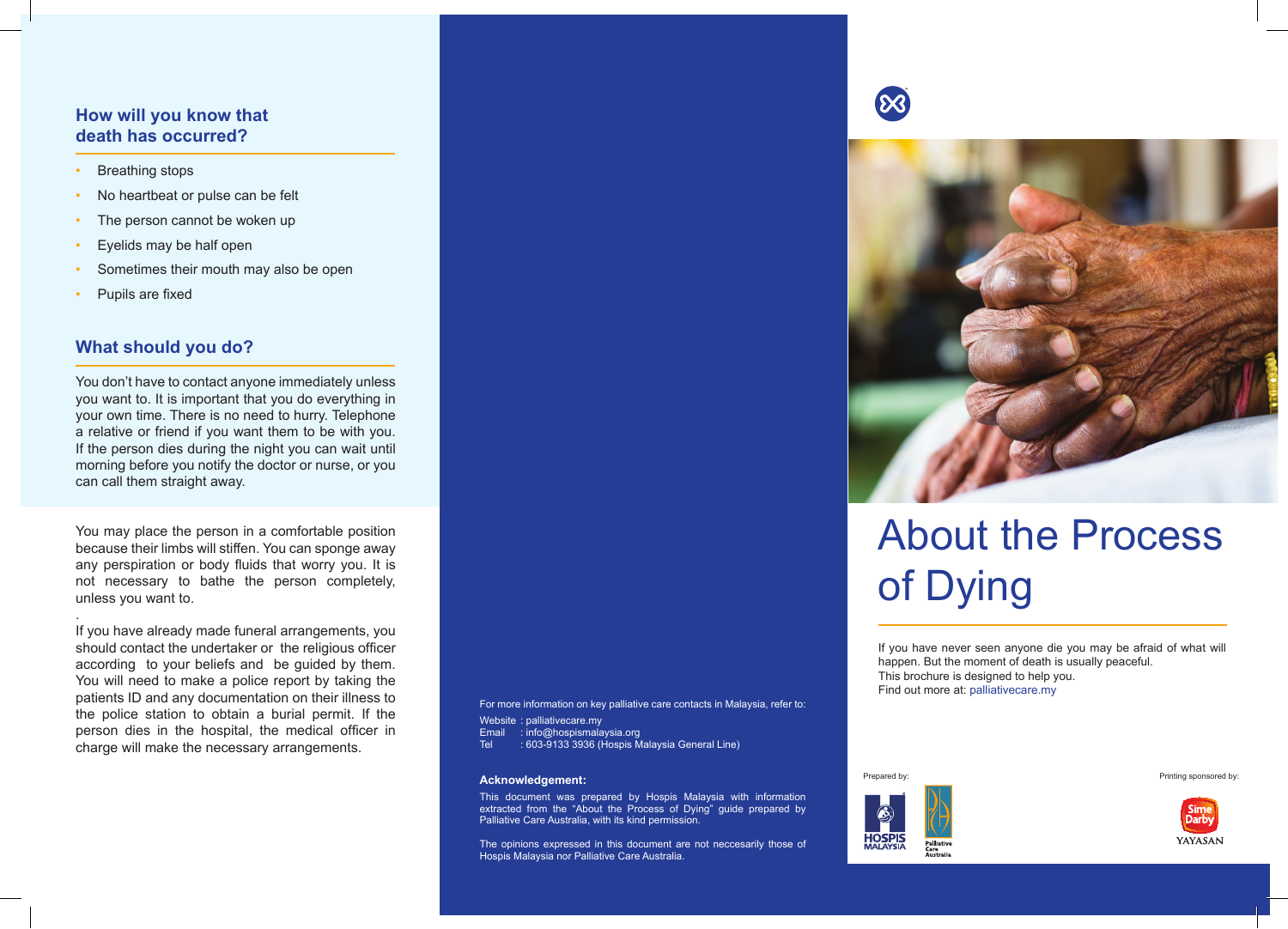## **How will you know that death has occurred?**

- **Breathing stops**
- No heartbeat or pulse can be felt
- The person cannot be woken up
- Eyelids may be half open
- Sometimes their mouth may also be open
- Pupils are fixed

## **What should you do?**

You don't have to contact anyone immediately unless you want to. It is important that you do everything in your own time. There is no need to hurry. Telephone a relative or friend if you want them to be with you. If the person dies during the night you can wait until morning before you notify the doctor or nurse, or you can call them straight away.

You may place the person in a comfortable position because their limbs will stiffen. You can sponge away any perspiration or body fluids that worry you. It is not necessary to bathe the person completely, unless you want to.

. If you have already made funeral arrangements, you should contact the undertaker or the religious officer according to your beliefs and be guided by them. You will need to make a police report by taking the patients ID and any documentation on their illness to the police station to obtain a burial permit. If the person dies in the hospital, the medical officer in charge will make the necessary arrangements.

For more information on key palliative care contacts in Malaysia, refer to:

Website : palliativecare.my

Email : info@hospismalaysia.org<br>Tel : 603-9133 3936 (Hospis Ma

: 603-9133 3936 (Hospis Malaysia General Line)

#### **Acknowledgement:**

This document was prepared by Hospis Malaysia with information extracted from the "About the Process of Dying" guide prepared by Palliative Care Australia, with its kind permission.

The opinions expressed in this document are not neccesarily those of Hospis Malaysia nor Palliative Care Australia.





# About the Process of Dying

If you have never seen anyone die you may be afraid of what will happen. But the moment of death is usually peaceful. This brochure is designed to help you. Find out more at: palliativecare.my



Prepared by: Printing sponsored by: